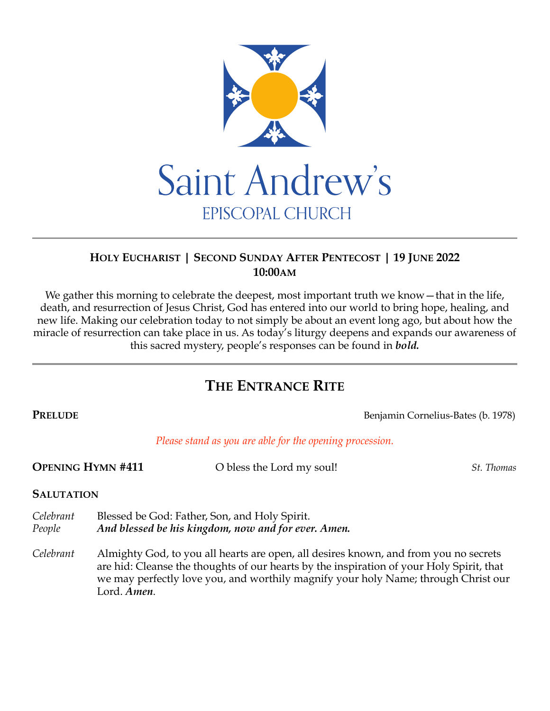

### **HOLY EUCHARIST | SECOND SUNDAY AFTER PENTECOST | 19 JUNE 2022 10:00AM**

We gather this morning to celebrate the deepest, most important truth we know — that in the life, death, and resurrection of Jesus Christ, God has entered into our world to bring hope, healing, and new life. Making our celebration today to not simply be about an event long ago, but about how the miracle of resurrection can take place in us. As today's liturgy deepens and expands our awareness of this sacred mystery, people's responses can be found in *bold.*

# **THE ENTRANCE RITE**

**PRELUDE** Benjamin Cornelius-Bates (b. 1978)

*Please stand as you are able for the opening procession.*

**OPENING HYMN #411** O bless the Lord my soul! *St. Thomas*

#### **SALUTATION**

*Celebrant* Blessed be God: Father, Son, and Holy Spirit. *People And blessed be his kingdom, now and for ever. Amen.*

*Celebrant* Almighty God, to you all hearts are open, all desires known, and from you no secrets are hid: Cleanse the thoughts of our hearts by the inspiration of your Holy Spirit, that we may perfectly love you, and worthily magnify your holy Name; through Christ our Lord. *Amen*.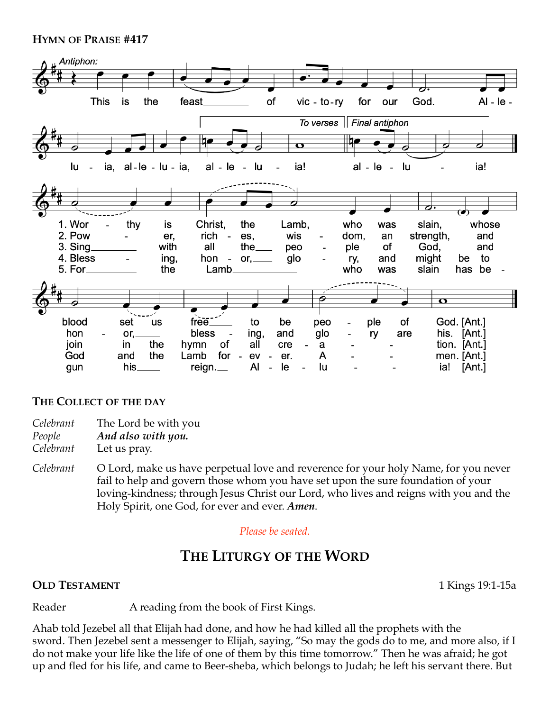#### **HYMN OF PRAISE #417**



#### **THE COLLECT OF THE DAY**

| Celebrant | The Lord be with you |  |
|-----------|----------------------|--|
|           |                      |  |

- *People And also with you.*
- *Celebrant* Let us pray.
- *Celebrant* O Lord, make us have perpetual love and reverence for your holy Name, for you never fail to help and govern those whom you have set upon the sure foundation of your loving-kindness; through Jesus Christ our Lord, who lives and reigns with you and the Holy Spirit, one God, for ever and ever. *Amen*.

#### *Please be seated.*

## **THE LITURGY OF THE WORD**

#### **OLD TESTAMENT** 1 Kings 19:1-15a

Reader **A** reading from the book of First Kings.

Ahab told Jezebel all that Elijah had done, and how he had killed all the prophets with the sword. Then Jezebel sent a messenger to Elijah, saying, "So may the gods do to me, and more also, if I do not make your life like the life of one of them by this time tomorrow." Then he was afraid; he got up and fled for his life, and came to Beer-sheba, which belongs to Judah; he left his servant there. But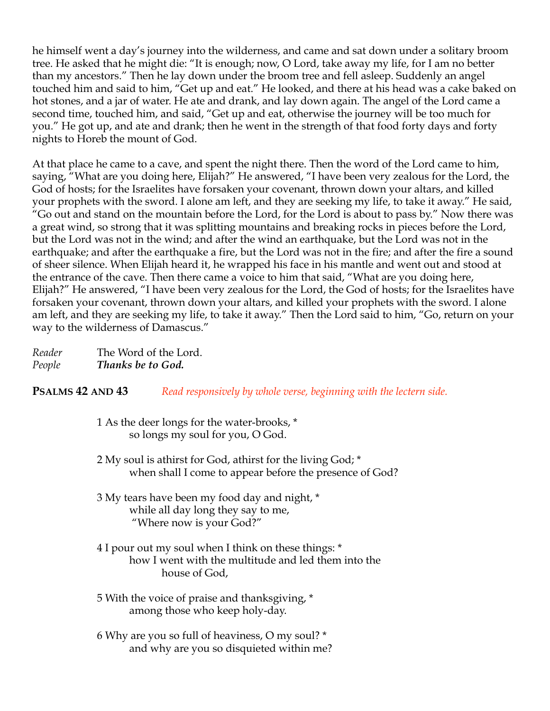he himself went a day's journey into the wilderness, and came and sat down under a solitary broom tree. He asked that he might die: "It is enough; now, O Lord, take away my life, for I am no better than my ancestors." Then he lay down under the broom tree and fell asleep. Suddenly an angel touched him and said to him, "Get up and eat." He looked, and there at his head was a cake baked on hot stones, and a jar of water. He ate and drank, and lay down again. The angel of the Lord came a second time, touched him, and said, "Get up and eat, otherwise the journey will be too much for you." He got up, and ate and drank; then he went in the strength of that food forty days and forty nights to Horeb the mount of God.

At that place he came to a cave, and spent the night there. Then the word of the Lord came to him, saying, "What are you doing here, Elijah?" He answered, "I have been very zealous for the Lord, the God of hosts; for the Israelites have forsaken your covenant, thrown down your altars, and killed your prophets with the sword. I alone am left, and they are seeking my life, to take it away." He said, "Go out and stand on the mountain before the Lord, for the Lord is about to pass by." Now there was a great wind, so strong that it was splitting mountains and breaking rocks in pieces before the Lord, but the Lord was not in the wind; and after the wind an earthquake, but the Lord was not in the earthquake; and after the earthquake a fire, but the Lord was not in the fire; and after the fire a sound of sheer silence. When Elijah heard it, he wrapped his face in his mantle and went out and stood at the entrance of the cave. Then there came a voice to him that said, "What are you doing here, Elijah?" He answered, "I have been very zealous for the Lord, the God of hosts; for the Israelites have forsaken your covenant, thrown down your altars, and killed your prophets with the sword. I alone am left, and they are seeking my life, to take it away." Then the Lord said to him, "Go, return on your way to the wilderness of Damascus."

| Reader | The Word of the Lord. |
|--------|-----------------------|
| People | Thanks be to God.     |

**PSALMS 42 AND 43** *Read responsively by whole verse, beginning with the lectern side.*

1 As the deer longs for the water-brooks, \* so longs my soul for you, O God.

2 My soul is athirst for God, athirst for the living God; \* when shall I come to appear before the presence of God?

- 3 My tears have been my food day and night, \* while all day long they say to me, "Where now is your God?"
- 4 I pour out my soul when I think on these things: \* how I went with the multitude and led them into the house of God,

5 With the voice of praise and thanksgiving, \* among those who keep holy-day.

6 Why are you so full of heaviness, O my soul? \* and why are you so disquieted within me?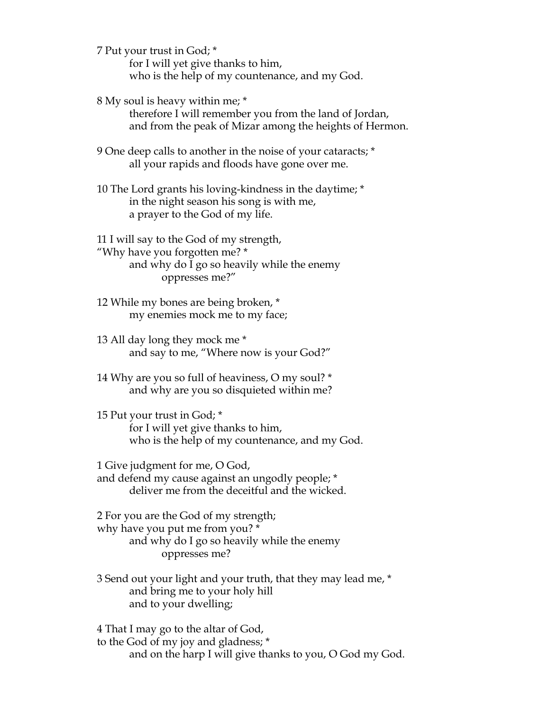7 Put your trust in God; \* for I will yet give thanks to him, who is the help of my countenance, and my God.

8 My soul is heavy within me; \*

 therefore I will remember you from the land of Jordan, and from the peak of Mizar among the heights of Hermon.

9 One deep calls to another in the noise of your cataracts; \* all your rapids and floods have gone over me.

10 The Lord grants his loving-kindness in the daytime; \* in the night season his song is with me, a prayer to the God of my life.

11 I will say to the God of my strength, "Why have you forgotten me? \* and why do I go so heavily while the enemy oppresses me?"

12 While my bones are being broken, \* my enemies mock me to my face;

13 All day long they mock me \* and say to me, "Where now is your God?"

14 Why are you so full of heaviness, O my soul? \* and why are you so disquieted within me?

15 Put your trust in God; \* for I will yet give thanks to him, who is the help of my countenance, and my God.

1 Give judgment for me, O God, and defend my cause against an ungodly people; \* deliver me from the deceitful and the wicked.

2 For you are the God of my strength; why have you put me from you? \* and why do I go so heavily while the enemy oppresses me?

3 Send out your light and your truth, that they may lead me, \* and bring me to your holy hill and to your dwelling;

4 That I may go to the altar of God, to the God of my joy and gladness; \* and on the harp I will give thanks to you, O God my God.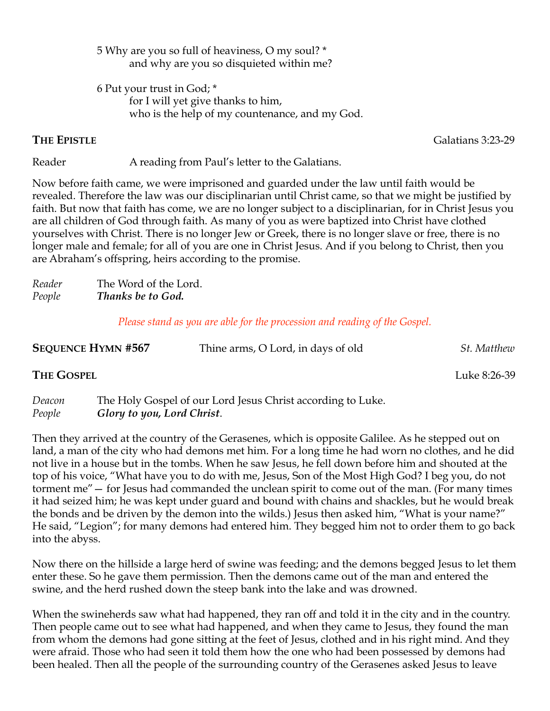5 Why are you so full of heaviness, O my soul? \* and why are you so disquieted within me?

6 Put your trust in God; \* for I will yet give thanks to him, who is the help of my countenance, and my God.

**THE EPISTLE**Galatians 3:23-29

Reader A reading from Paul's letter to the Galatians.

Now before faith came, we were imprisoned and guarded under the law until faith would be revealed. Therefore the law was our disciplinarian until Christ came, so that we might be justified by faith. But now that faith has come, we are no longer subject to a disciplinarian, for in Christ Jesus you are all children of God through faith. As many of you as were baptized into Christ have clothed yourselves with Christ. There is no longer Jew or Greek, there is no longer slave or free, there is no longer male and female; for all of you are one in Christ Jesus. And if you belong to Christ, then you are Abraham's offspring, heirs according to the promise.

| Reader | The Word of the Lord. |
|--------|-----------------------|
| People | Thanks be to God.     |

*Please stand as you are able for the procession and reading of the Gospel.*

| <b>SEQUENCE HYMN #567</b> | Thine arms, O Lord, in days of old | <i>St. Matthew</i> |
|---------------------------|------------------------------------|--------------------|
| <b>THE GOSPEL</b>         |                                    | Luke 8:26-39       |

*Deacon* The Holy Gospel of our Lord Jesus Christ according to Luke. *People Glory to you, Lord Christ*.

Then they arrived at the country of the Gerasenes, which is opposite Galilee. As he stepped out on land, a man of the city who had demons met him. For a long time he had worn no clothes, and he did not live in a house but in the tombs. When he saw Jesus, he fell down before him and shouted at the top of his voice, "What have you to do with me, Jesus, Son of the Most High God? I beg you, do not torment me"— for Jesus had commanded the unclean spirit to come out of the man. (For many times it had seized him; he was kept under guard and bound with chains and shackles, but he would break the bonds and be driven by the demon into the wilds.) Jesus then asked him, "What is your name?" He said, "Legion"; for many demons had entered him. They begged him not to order them to go back into the abyss.

Now there on the hillside a large herd of swine was feeding; and the demons begged Jesus to let them enter these. So he gave them permission. Then the demons came out of the man and entered the swine, and the herd rushed down the steep bank into the lake and was drowned.

When the swineherds saw what had happened, they ran off and told it in the city and in the country. Then people came out to see what had happened, and when they came to Jesus, they found the man from whom the demons had gone sitting at the feet of Jesus, clothed and in his right mind. And they were afraid. Those who had seen it told them how the one who had been possessed by demons had been healed. Then all the people of the surrounding country of the Gerasenes asked Jesus to leave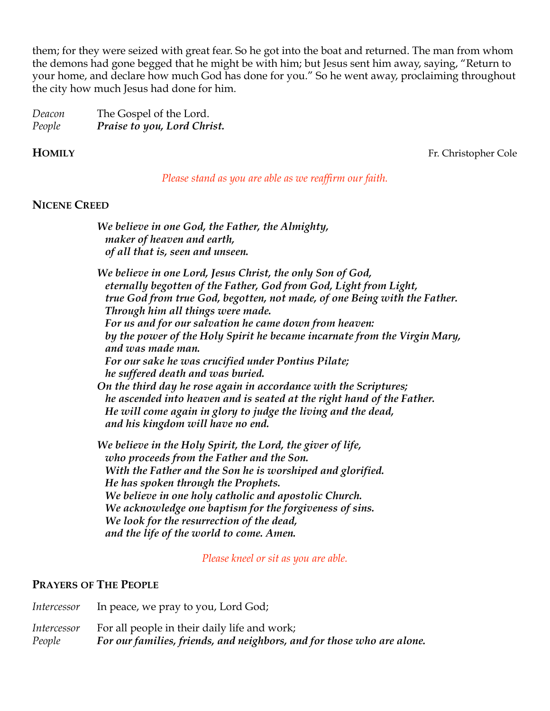them; for they were seized with great fear. So he got into the boat and returned. The man from whom the demons had gone begged that he might be with him; but Jesus sent him away, saying, "Return to your home, and declare how much God has done for you." So he went away, proclaiming throughout the city how much Jesus had done for him.

| Deacon | The Gospel of the Lord.     |
|--------|-----------------------------|
| People | Praise to you, Lord Christ. |

**HOMILY** Fr. Christopher Cole

*Please stand as you are able as we reaffirm our faith.*

#### **NICENE CREED**

*We believe in one God, the Father, the Almighty, maker of heaven and earth, of all that is, seen and unseen.*

*We believe in one Lord, Jesus Christ, the only Son of God, eternally begotten of the Father, God from God, Light from Light, true God from true God, begotten, not made, of one Being with the Father. Through him all things were made. For us and for our salvation he came down from heaven: by the power of the Holy Spirit he became incarnate from the Virgin Mary, and was made man. For our sake he was crucified under Pontius Pilate; he suffered death and was buried.*

*On the third day he rose again in accordance with the Scriptures; he ascended into heaven and is seated at the right hand of the Father. He will come again in glory to judge the living and the dead, and his kingdom will have no end.*

*We believe in the Holy Spirit, the Lord, the giver of life, who proceeds from the Father and the Son. With the Father and the Son he is worshiped and glorified. He has spoken through the Prophets. We believe in one holy catholic and apostolic Church. We acknowledge one baptism for the forgiveness of sins. We look for the resurrection of the dead, and the life of the world to come. Amen.*

*Please kneel or sit as you are able.*

#### **PRAYERS OF THE PEOPLE**

| Intercessor | In peace, we pray to you, Lord God;                                    |
|-------------|------------------------------------------------------------------------|
| Intercessor | For all people in their daily life and work;                           |
| People      | For our families, friends, and neighbors, and for those who are alone. |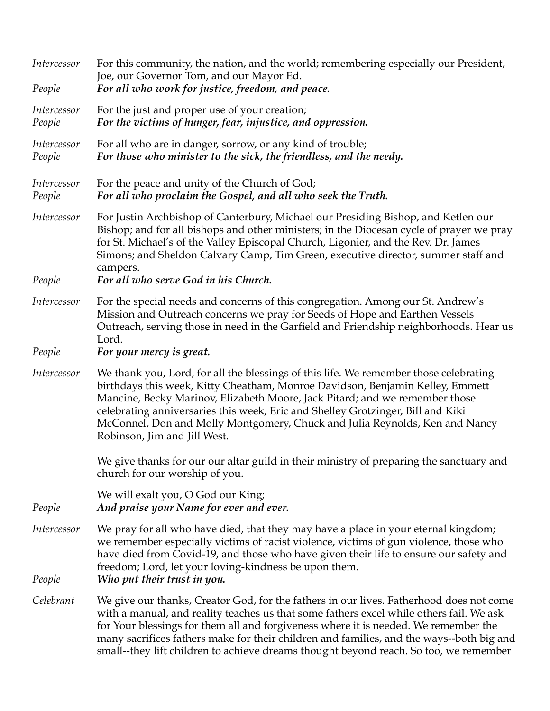| Intercessor           | For this community, the nation, and the world; remembering especially our President,<br>Joe, our Governor Tom, and our Mayor Ed.                                                                                                                                                                                                                                                                                                                               |
|-----------------------|----------------------------------------------------------------------------------------------------------------------------------------------------------------------------------------------------------------------------------------------------------------------------------------------------------------------------------------------------------------------------------------------------------------------------------------------------------------|
| People                | For all who work for justice, freedom, and peace.                                                                                                                                                                                                                                                                                                                                                                                                              |
| Intercessor<br>People | For the just and proper use of your creation;<br>For the victims of hunger, fear, injustice, and oppression.                                                                                                                                                                                                                                                                                                                                                   |
| Intercessor<br>People | For all who are in danger, sorrow, or any kind of trouble;<br>For those who minister to the sick, the friendless, and the needy.                                                                                                                                                                                                                                                                                                                               |
| Intercessor<br>People | For the peace and unity of the Church of God;<br>For all who proclaim the Gospel, and all who seek the Truth.                                                                                                                                                                                                                                                                                                                                                  |
| Intercessor           | For Justin Archbishop of Canterbury, Michael our Presiding Bishop, and Ketlen our<br>Bishop; and for all bishops and other ministers; in the Diocesan cycle of prayer we pray<br>for St. Michael's of the Valley Episcopal Church, Ligonier, and the Rev. Dr. James<br>Simons; and Sheldon Calvary Camp, Tim Green, executive director, summer staff and<br>campers.                                                                                           |
| People                | For all who serve God in his Church.                                                                                                                                                                                                                                                                                                                                                                                                                           |
| Intercessor           | For the special needs and concerns of this congregation. Among our St. Andrew's<br>Mission and Outreach concerns we pray for Seeds of Hope and Earthen Vessels<br>Outreach, serving those in need in the Garfield and Friendship neighborhoods. Hear us<br>Lord.                                                                                                                                                                                               |
| People                | For your mercy is great.                                                                                                                                                                                                                                                                                                                                                                                                                                       |
| Intercessor           | We thank you, Lord, for all the blessings of this life. We remember those celebrating<br>birthdays this week, Kitty Cheatham, Monroe Davidson, Benjamin Kelley, Emmett<br>Mancine, Becky Marinov, Elizabeth Moore, Jack Pitard; and we remember those<br>celebrating anniversaries this week, Eric and Shelley Grotzinger, Bill and Kiki<br>McConnel, Don and Molly Montgomery, Chuck and Julia Reynolds, Ken and Nancy<br>Robinson, Jim and Jill West.        |
|                       | We give thanks for our our altar guild in their ministry of preparing the sanctuary and<br>church for our worship of you.                                                                                                                                                                                                                                                                                                                                      |
| People                | We will exalt you, O God our King;<br>And praise your Name for ever and ever.                                                                                                                                                                                                                                                                                                                                                                                  |
| Intercessor<br>People | We pray for all who have died, that they may have a place in your eternal kingdom;<br>we remember especially victims of racist violence, victims of gun violence, those who<br>have died from Covid-19, and those who have given their life to ensure our safety and<br>freedom; Lord, let your loving-kindness be upon them.<br>Who put their trust in you.                                                                                                   |
| Celebrant             | We give our thanks, Creator God, for the fathers in our lives. Fatherhood does not come<br>with a manual, and reality teaches us that some fathers excel while others fail. We ask<br>for Your blessings for them all and forgiveness where it is needed. We remember the<br>many sacrifices fathers make for their children and families, and the ways--both big and<br>small--they lift children to achieve dreams thought beyond reach. So too, we remember |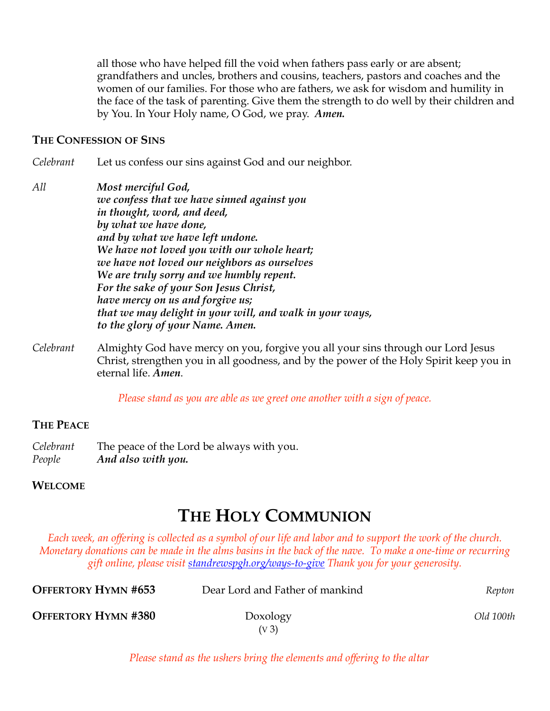all those who have helped fill the void when fathers pass early or are absent; grandfathers and uncles, brothers and cousins, teachers, pastors and coaches and the women of our families. For those who are fathers, we ask for wisdom and humility in the face of the task of parenting. Give them the strength to do well by their children and by You. In Your Holy name, O God, we pray. *Amen.*

#### **THE CONFESSION OF SINS**

*Celebrant* Let us confess our sins against God and our neighbor.

*All Most merciful God, we confess that we have sinned against you in thought, word, and deed, by what we have done, and by what we have left undone. We have not loved you with our whole heart; we have not loved our neighbors as ourselves We are truly sorry and we humbly repent. For the sake of your Son Jesus Christ, have mercy on us and forgive us; that we may delight in your will, and walk in your ways, to the glory of your Name. Amen.*

*Celebrant* Almighty God have mercy on you, forgive you all your sins through our Lord Jesus Christ, strengthen you in all goodness, and by the power of the Holy Spirit keep you in eternal life. *Amen*.

*Please stand as you are able as we greet one another with a sign of peace.*

#### **THE PEACE**

*Celebrant* The peace of the Lord be always with you. *People And also with you.*

#### **WELCOME**

# **THE HOLY COMMUNION**

*Each week, an offering is collected as a symbol of our life and labor and to support the work of the church. Monetary donations can be made in the alms basins in the back of the nave. To make a one-time or recurring gift online, please visit [standrewspgh.org/ways-to-give](http://standrewspgh.org/ways-to-give) Thank you for your generosity.*

| <b>OFFERTORY HYMN #653</b> | Dear Lord and Father of mankind | Repton    |
|----------------------------|---------------------------------|-----------|
| <b>OFFERTORY HYMN #380</b> | Doxology<br>(V <sub>3</sub> )   | Old 100th |
|                            |                                 |           |

*Please stand as the ushers bring the elements and offering to the altar*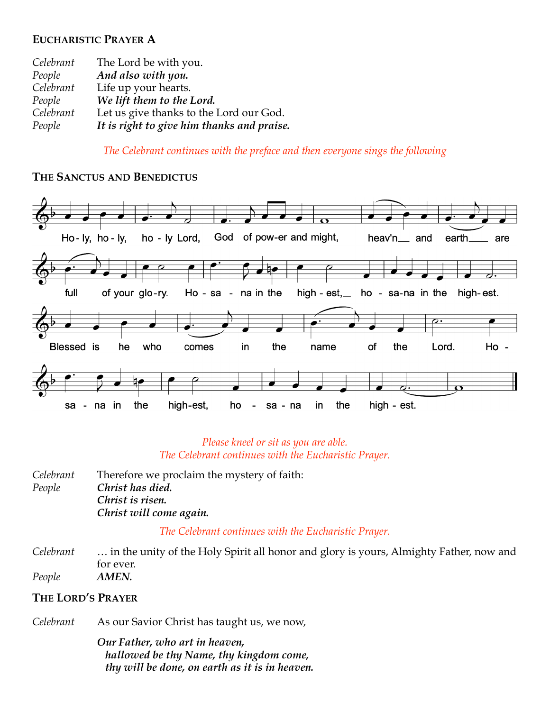#### **EUCHARISTIC PRAYER A**

| Celebrant | The Lord be with you.                      |
|-----------|--------------------------------------------|
| People    | And also with you.                         |
| Celebrant | Life up your hearts.                       |
| People    | We lift them to the Lord.                  |
| Celebrant | Let us give thanks to the Lord our God.    |
| People    | It is right to give him thanks and praise. |

*The Celebrant continues with the preface and then everyone sings the following*

#### **THE SANCTUS AND BENEDICTUS**



#### *Please kneel or sit as you are able. The Celebrant continues with the Eucharistic Prayer.*

*Celebrant* Therefore we proclaim the mystery of faith: *People Christ has died. Christ is risen. Christ will come again.*

#### *The Celebrant continues with the Eucharistic Prayer.*

*Celebrant* … in the unity of the Holy Spirit all honor and glory is yours, Almighty Father, now and for ever. *People AMEN.*

#### **THE LORD'S PRAYER**

*Celebrant* As our Savior Christ has taught us, we now,

 *Our Father, who art in heaven, hallowed be thy Name, thy kingdom come, thy will be done, on earth as it is in heaven.*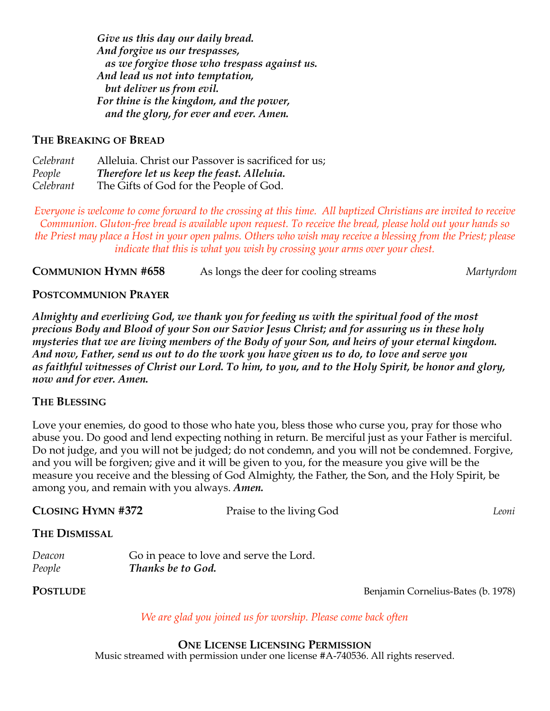*Give us this day our daily bread. And forgive us our trespasses, as we forgive those who trespass against us. And lead us not into temptation, but deliver us from evil. For thine is the kingdom, and the power, and the glory, for ever and ever. Amen.* 

#### **THE BREAKING OF BREAD**

| Celebrant | Alleluia. Christ our Passover is sacrificed for us; |
|-----------|-----------------------------------------------------|
| People    | Therefore let us keep the feast. Alleluia.          |
| Celebrant | The Gifts of God for the People of God.             |

*Everyone is welcome to come forward to the crossing at this time. All baptized Christians are invited to receive Communion. Gluton-free bread is available upon request. To receive the bread, please hold out your hands so the Priest may place a Host in your open palms. Others who wish may receive a blessing from the Priest; please indicate that this is what you wish by crossing your arms over your chest.*

**COMMUNION HYMN #658** As longs the deer for cooling streams *Martyrdom*

#### **POSTCOMMUNION PRAYER**

*Almighty and everliving God, we thank you for feeding us with the spiritual food of the most precious Body and Blood of your Son our Savior Jesus Christ; and for assuring us in these holy mysteries that we are living members of the Body of your Son, and heirs of your eternal kingdom. And now, Father, send us out to do the work you have given us to do, to love and serve you as faithful witnesses of Christ our Lord. To him, to you, and to the Holy Spirit, be honor and glory, now and for ever. Amen.*

#### **THE BLESSING**

Love your enemies, do good to those who hate you, bless those who curse you, pray for those who abuse you. Do good and lend expecting nothing in return. Be merciful just as your Father is merciful. Do not judge, and you will not be judged; do not condemn, and you will not be condemned. Forgive, and you will be forgiven; give and it will be given to you, for the measure you give will be the measure you receive and the blessing of God Almighty, the Father, the Son, and the Holy Spirit, be among you, and remain with you always. *Amen.*

| <b>CLOSING HYMN #372</b> | Praise to the living God                                        | Leoni                              |
|--------------------------|-----------------------------------------------------------------|------------------------------------|
| <b>THE DISMISSAL</b>     |                                                                 |                                    |
| Deacon<br>People         | Go in peace to love and serve the Lord.<br>Thanks be to God.    |                                    |
| <b>POSTLUDE</b>          |                                                                 | Benjamin Cornelius-Bates (b. 1978) |
|                          | Ille aux slad way isined ys fourwaythin Dlease come leady often |                                    |

*We are glad you joined us for worship. Please come back often*

**ONE LICENSE LICENSING PERMISSION** Music streamed with permission under one license #A-740536. All rights reserved.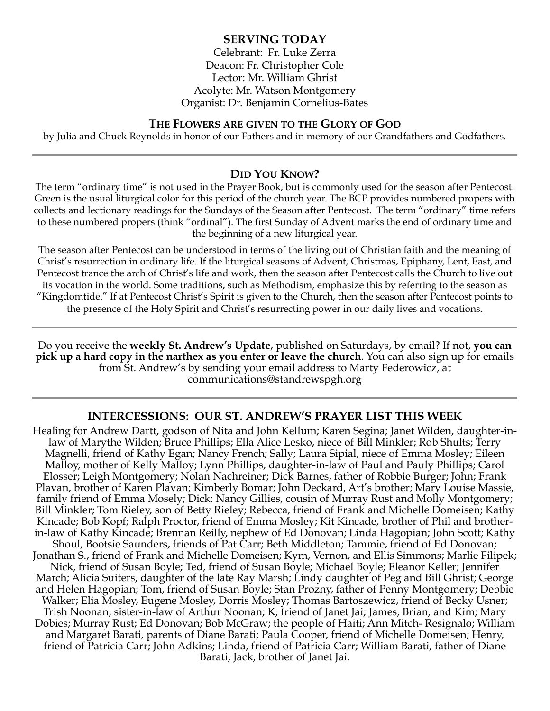#### **SERVING TODAY**

Celebrant: Fr. Luke Zerra Deacon: Fr. Christopher Cole Lector: Mr. William Ghrist Acolyte: Mr. Watson Montgomery Organist: Dr. Benjamin Cornelius-Bates

#### **THE FLOWERS ARE GIVEN TO THE GLORY OF GOD**

by Julia and Chuck Reynolds in honor of our Fathers and in memory of our Grandfathers and Godfathers.

#### **DID YOU KNOW?**

The term "ordinary time" is not used in the Prayer Book, but is commonly used for the season after Pentecost. Green is the usual liturgical color for this period of the church year. The BCP provides numbered propers with collects and lectionary readings for the Sundays of the Season after Pentecost. The term "ordinary" time refers to these numbered propers (think "ordinal"). The first Sunday of Advent marks the end of ordinary time and the beginning of a new liturgical year.

The season after Pentecost can be understood in terms of the living out of Christian faith and the meaning of Christ's resurrection in ordinary life. If the liturgical seasons of Advent, Christmas, Epiphany, Lent, East, and Pentecost trance the arch of Christ's life and work, then the season after Pentecost calls the Church to live out its vocation in the world. Some traditions, such as Methodism, emphasize this by referring to the season as "Kingdomtide." If at Pentecost Christ's Spirit is given to the Church, then the season after Pentecost points to the presence of the Holy Spirit and Christ's resurrecting power in our daily lives and vocations.

Do you receive the **weekly St. Andrew's Update**, published on Saturdays, by email? If not, **you can pick up a hard copy in the narthex as you enter or leave the church**. You can also sign up for emails from St. Andrew's by sending your email address to Marty Federowicz, at communications@standrewspgh.org

#### **INTERCESSIONS: OUR ST. ANDREW'S PRAYER LIST THIS WEEK**

Healing for Andrew Dartt, godson of Nita and John Kellum; Karen Segina; Janet Wilden, daughter-inlaw of Marythe Wilden; Bruce Phillips; Ella Alice Lesko, niece of Bill Minkler; Rob Shults; Terry Magnelli, friend of Kathy Egan; Nancy French; Sally; Laura Sipial, niece of Emma Mosley; Eileen Malloy, mother of Kelly Malloy; Lynn Phillips, daughter-in-law of Paul and Pauly Phillips; Carol Elosser; Leigh Montgomery; Nolan Nachreiner; Dick Barnes, father of Robbie Burger; John; Frank Plavan, brother of Karen Plavan; Kimberly Bomar; John Deckard, Art's brother; Mary Louise Massie, family friend of Emma Mosely; Dick; Nancy Gillies, cousin of Murray Rust and Molly Montgomery; Bill Minkler; Tom Rieley, son of Betty Rieley; Rebecca, friend of Frank and Michelle Domeisen; Kathy Kincade; Bob Kopf; Ralph Proctor, friend of Emma Mosley; Kit Kincade, brother of Phil and brotherin-law of Kathy Kincade; Brennan Reilly, nephew of Ed Donovan; Linda Hagopian; John Scott; Kathy Shoul, Bootsie Saunders, friends of Pat Carr; Beth Middleton; Tammie, friend of Ed Donovan; Jonathan S., friend of Frank and Michelle Domeisen; Kym, Vernon, and Ellis Simmons; Marlie Filipek; Nick, friend of Susan Boyle; Ted, friend of Susan Boyle; Michael Boyle; Eleanor Keller; Jennifer March; Alicia Suiters, daughter of the late Ray Marsh; Lindy daughter of Peg and Bill Ghrist; George and Helen Hagopian; Tom, friend of Susan Boyle; Stan Prozny, father of Penny Montgomery; Debbie Walker; Elia Mosley, Eugene Mosley, Dorris Mosley; Thomas Bartoszewicz, friend of Becky Usner; Trish Noonan, sister-in-law of Arthur Noonan; K, friend of Janet Jai; James, Brian, and Kim; Mary Dobies; Murray Rust; Ed Donovan; Bob McGraw; the people of Haiti; Ann Mitch- Resignalo; William and Margaret Barati, parents of Diane Barati; Paula Cooper, friend of Michelle Domeisen; Henry, friend of Patricia Carr; John Adkins; Linda, friend of Patricia Carr; William Barati, father of Diane Barati, Jack, brother of Janet Jai.